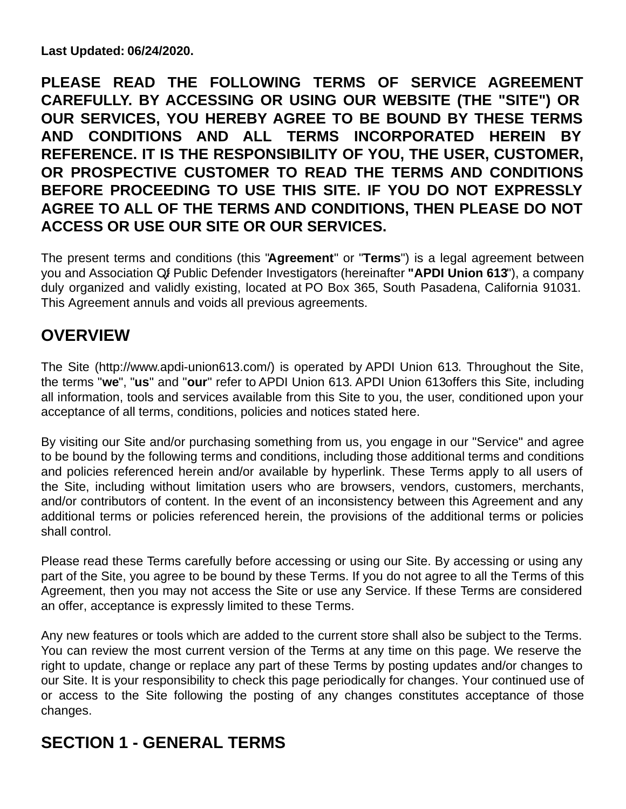**Last Updated: 06/24/2020.**

**PLEASE READ THE FOLLOWING TERMS OF SERVICE AGREEMENT CAREFULLY. BY ACCESSING OR USING OUR WEBSITE (THE "SITE") OR OUR SERVICES, YOU HEREBY AGREE TO BE BOUND BY THESE TERMS AND CONDITIONS AND ALL TERMS INCORPORATED HEREIN BY REFERENCE. IT IS THE RESPONSIBILITY OF YOU, THE USER, CUSTOMER, OR PROSPECTIVE CUSTOMER TO READ THE TERMS AND CONDITIONS BEFORE PROCEEDING TO USE THIS SITE. IF YOU DO NOT EXPRESSLY AGREE TO ALL OF THE TERMS AND CONDITIONS, THEN PLEASE DO NOT ACCESS OR USE OUR SITE OR OUR SERVICES.**

The present terms and conditions (this "**Agreement**" or "**Terms**") is a legal agreement between you and Association Of Public Defender Investigators (hereinafter **"APDI Union 613**"), a company duly organized and validly existing, located at PO Box 365, South Pasadena, California 91031. This Agreement annuls and voids all previous agreements.

# **OVERVIEW**

The Site (http://www.apdi-union613.com/) is operated by APDI Union 613. Throughout the Site, the terms "**we**", "**us**" and "**our**" refer to APDI Union 613. APDI Union 613offers this Site, including all information, tools and services available from this Site to you, the user, conditioned upon your acceptance of all terms, conditions, policies and notices stated here.

By visiting our Site and/or purchasing something from us, you engage in our "Service" and agree to be bound by the following terms and conditions, including those additional terms and conditions and policies referenced herein and/or available by hyperlink. These Terms apply to all users of the Site, including without limitation users who are browsers, vendors, customers, merchants, and/or contributors of content. In the event of an inconsistency between this Agreement and any additional terms or policies referenced herein, the provisions of the additional terms or policies shall control.

Please read these Terms carefully before accessing or using our Site. By accessing or using any part of the Site, you agree to be bound by these Terms. If you do not agree to all the Terms of this Agreement, then you may not access the Site or use any Service. If these Terms are considered an offer, acceptance is expressly limited to these Terms.

Any new features or tools which are added to the current store shall also be subject to the Terms. You can review the most current version of the Terms at any time on this page. We reserve the right to update, change or replace any part of these Terms by posting updates and/or changes to our Site. It is your responsibility to check this page periodically for changes. Your continued use of or access to the Site following the posting of any changes constitutes acceptance of those changes.

# **SECTION 1 - GENERAL TERMS**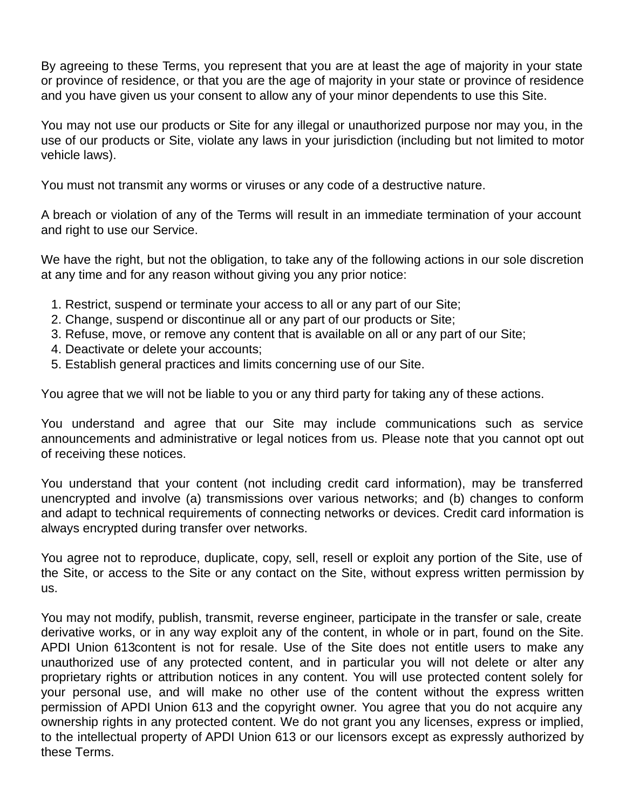By agreeing to these Terms, you represent that you are at least the age of majority in your state or province of residence, or that you are the age of majority in your state or province of residence and you have given us your consent to allow any of your minor dependents to use this Site.

You may not use our products or Site for any illegal or unauthorized purpose nor may you, in the use of our products or Site, violate any laws in your jurisdiction (including but not limited to motor vehicle laws).

You must not transmit any worms or viruses or any code of a destructive nature.

A breach or violation of any of the Terms will result in an immediate termination of your account and right to use our Service.

We have the right, but not the obligation, to take any of the following actions in our sole discretion at any time and for any reason without giving you any prior notice:

- 1. Restrict, suspend or terminate your access to all or any part of our Site;
- 2. Change, suspend or discontinue all or any part of our products or Site;
- 3. Refuse, move, or remove any content that is available on all or any part of our Site;
- 4. Deactivate or delete your accounts;
- 5. Establish general practices and limits concerning use of our Site.

You agree that we will not be liable to you or any third party for taking any of these actions.

You understand and agree that our Site may include communications such as service announcements and administrative or legal notices from us. Please note that you cannot opt out of receiving these notices.

You understand that your content (not including credit card information), may be transferred unencrypted and involve (a) transmissions over various networks; and (b) changes to conform and adapt to technical requirements of connecting networks or devices. Credit card information is always encrypted during transfer over networks.

You agree not to reproduce, duplicate, copy, sell, resell or exploit any portion of the Site, use of the Site, or access to the Site or any contact on the Site, without express written permission by us.

You may not modify, publish, transmit, reverse engineer, participate in the transfer or sale, create derivative works, or in any way exploit any of the content, in whole or in part, found on the Site. APDI Union 613content is not for resale. Use of the Site does not entitle users to make any unauthorized use of any protected content, and in particular you will not delete or alter any proprietary rights or attribution notices in any content. You will use protected content solely for your personal use, and will make no other use of the content without the express written permission of APDI Union 613 and the copyright owner. You agree that you do not acquire any ownership rights in any protected content. We do not grant you any licenses, express or implied, to the intellectual property of APDI Union 613 or our licensors except as expressly authorized by these Terms.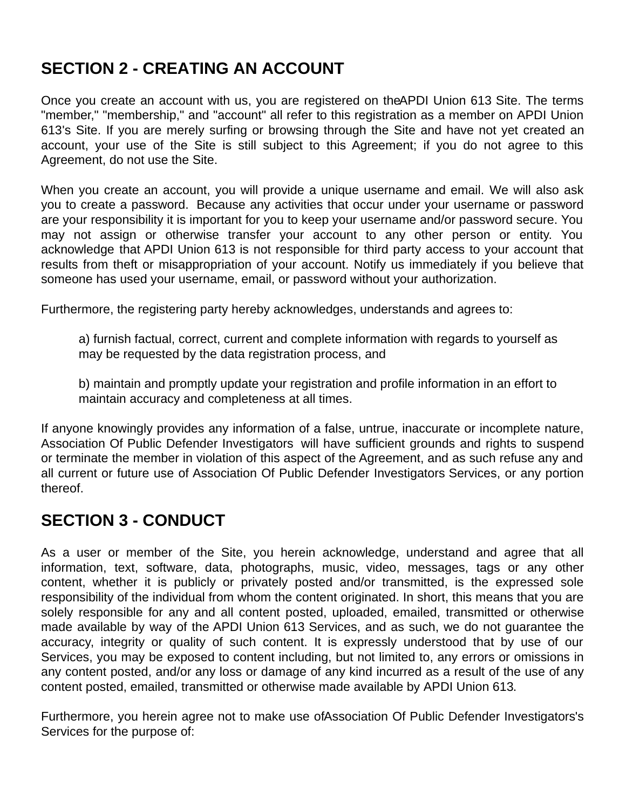# **SECTION 2 - CREATING AN ACCOUNT**

Once you create an account with us, you are registered on the APDI Union 613 Site. The terms "member," "membership," and "account" all refer to this registration as a member on APDI Union 613's Site. If you are merely surfing or browsing through the Site and have not yet created an account, your use of the Site is still subject to this Agreement; if you do not agree to this Agreement, do not use the Site.

When you create an account, you will provide a unique username and email. We will also ask you to create a password. Because any activities that occur under your username or password are your responsibility it is important for you to keep your username and/or password secure. You may not assign or otherwise transfer your account to any other person or entity. You acknowledge that APDI Union 613 is not responsible for third party access to your account that results from theft or misappropriation of your account. Notify us immediately if you believe that someone has used your username, email, or password without your authorization.

Furthermore, the registering party hereby acknowledges, understands and agrees to:

a) furnish factual, correct, current and complete information with regards to yourself as may be requested by the data registration process, and

b) maintain and promptly update your registration and profile information in an effort to maintain accuracy and completeness at all times.

If anyone knowingly provides any information of a false, untrue, inaccurate or incomplete nature, Association Of Public Defender Investigators will have sufficient grounds and rights to suspend or terminate the member in violation of this aspect of the Agreement, and as such refuse any and all current or future use of Association Of Public Defender Investigators Services, or any portion thereof.

#### **SECTION 3 - CONDUCT**

As a user or member of the Site, you herein acknowledge, understand and agree that all information, text, software, data, photographs, music, video, messages, tags or any other content, whether it is publicly or privately posted and/or transmitted, is the expressed sole responsibility of the individual from whom the content originated. In short, this means that you are solely responsible for any and all content posted, uploaded, emailed, transmitted or otherwise made available by way of the APDI Union 613 Services, and as such, we do not guarantee the accuracy, integrity or quality of such content. It is expressly understood that by use of our Services, you may be exposed to content including, but not limited to, any errors or omissions in any content posted, and/or any loss or damage of any kind incurred as a result of the use of any content posted, emailed, transmitted or otherwise made available by APDI Union 613.

Furthermore, you herein agree not to make use of Association Of Public Defender Investigators's Services for the purpose of: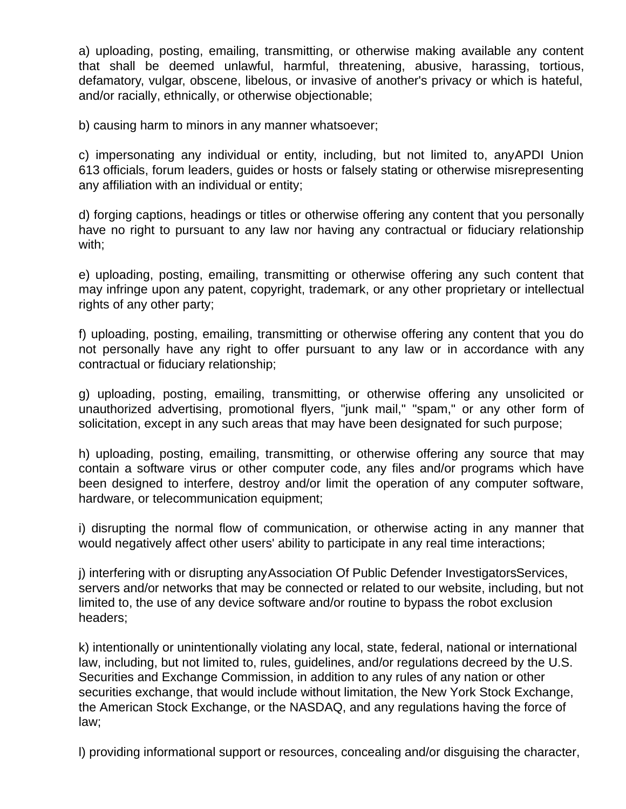a) uploading, posting, emailing, transmitting, or otherwise making available any content that shall be deemed unlawful, harmful, threatening, abusive, harassing, tortious, defamatory, vulgar, obscene, libelous, or invasive of another's privacy or which is hateful, and/or racially, ethnically, or otherwise objectionable;

b) causing harm to minors in any manner whatsoever;

c) impersonating any individual or entity, including, but not limited to, any APDI Union 613 officials, forum leaders, guides or hosts or falsely stating or otherwise misrepresenting any affiliation with an individual or entity;

d) forging captions, headings or titles or otherwise offering any content that you personally have no right to pursuant to any law nor having any contractual or fiduciary relationship with;

e) uploading, posting, emailing, transmitting or otherwise offering any such content that may infringe upon any patent, copyright, trademark, or any other proprietary or intellectual rights of any other party;

f) uploading, posting, emailing, transmitting or otherwise offering any content that you do not personally have any right to offer pursuant to any law or in accordance with any contractual or fiduciary relationship;

g) uploading, posting, emailing, transmitting, or otherwise offering any unsolicited or unauthorized advertising, promotional flyers, "junk mail," "spam," or any other form of solicitation, except in any such areas that may have been designated for such purpose;

h) uploading, posting, emailing, transmitting, or otherwise offering any source that may contain a software virus or other computer code, any files and/or programs which have been designed to interfere, destroy and/or limit the operation of any computer software, hardware, or telecommunication equipment;

i) disrupting the normal flow of communication, or otherwise acting in any manner that would negatively affect other users' ability to participate in any real time interactions;

j) interfering with or disrupting any Association Of Public Defender InvestigatorsServices, servers and/or networks that may be connected or related to our website, including, but not limited to, the use of any device software and/or routine to bypass the robot exclusion headers;

k) intentionally or unintentionally violating any local, state, federal, national or international law, including, but not limited to, rules, guidelines, and/or regulations decreed by the U.S. Securities and Exchange Commission, in addition to any rules of any nation or other securities exchange, that would include without limitation, the New York Stock Exchange, the American Stock Exchange, or the NASDAQ, and any regulations having the force of law;

l) providing informational support or resources, concealing and/or disguising the character,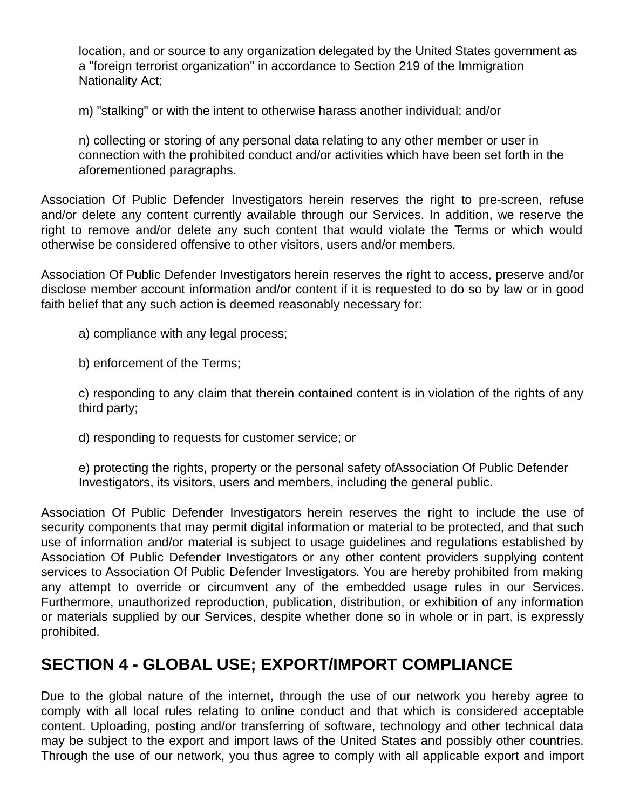location, and or source to any organization delegated by the United States government as a "foreign terrorist organization" in accordance to Section 219 of the Immigration Nationality Act;

m) "stalking" or with the intent to otherwise harass another individual; and/or

n) collecting or storing of any personal data relating to any other member or user in connection with the prohibited conduct and/or activities which have been set forth in the aforementioned paragraphs.

Association Of Public Defender Investigators herein reserves the right to pre-screen, refuse and/or delete any content currently available through our Services. In addition, we reserve the right to remove and/or delete any such content that would violate the Terms or which would otherwise be considered offensive to other visitors, users and/or members.

Association Of Public Defender Investigators herein reserves the right to access, preserve and/or disclose member account information and/or content if it is requested to do so by law or in good faith belief that any such action is deemed reasonably necessary for:

a) compliance with any legal process;

b) enforcement of the Terms;

c) responding to any claim that therein contained content is in violation of the rights of any third party;

d) responding to requests for customer service; or

e) protecting the rights, property or the personal safety of Association Of Public Defender Investigators, its visitors, users and members, including the general public.

Association Of Public Defender Investigators herein reserves the right to include the use of security components that may permit digital information or material to be protected, and that such use of information and/or material is subject to usage guidelines and regulations established by Association Of Public Defender Investigators or any other content providers supplying content services to Association Of Public Defender Investigators. You are hereby prohibited from making any attempt to override or circumvent any of the embedded usage rules in our Services. Furthermore, unauthorized reproduction, publication, distribution, or exhibition of any information or materials supplied by our Services, despite whether done so in whole or in part, is expressly prohibited.

#### **SECTION 4 - GLOBAL USE; EXPORT/IMPORT COMPLIANCE**

Due to the global nature of the internet, through the use of our network you hereby agree to comply with all local rules relating to online conduct and that which is considered acceptable content. Uploading, posting and/or transferring of software, technology and other technical data may be subject to the export and import laws of the United States and possibly other countries. Through the use of our network, you thus agree to comply with all applicable export and import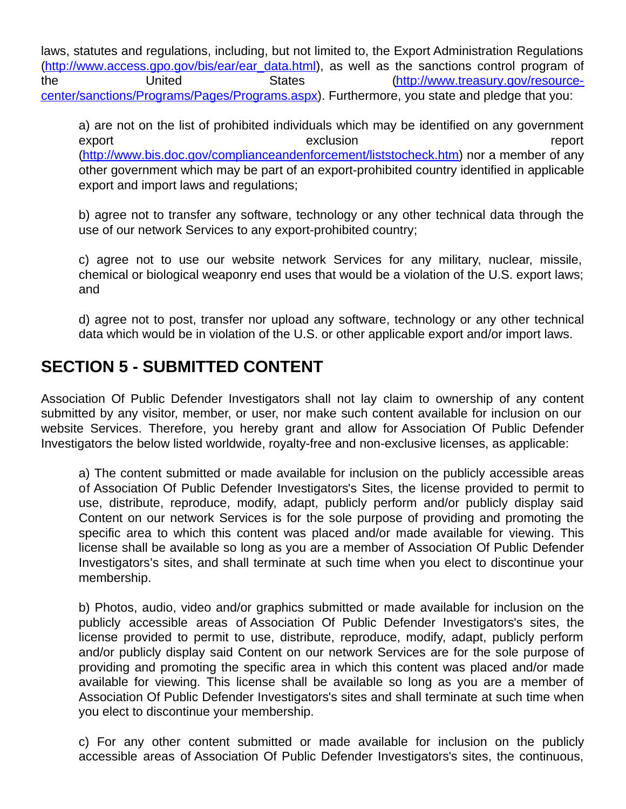laws, statutes and regulations, including, but not limited to, the Export Administration Regulations (http://www.access.gpo.gov/bis/ear/ear\_data.html), as well as the sanctions control program of the United States (http://www.treasury.gov/resourcecenter/sanctions/Programs/Pages/Programs.aspx). Furthermore, you state and pledge that you:

a) are not on the list of prohibited individuals which may be identified on any government export exclusion report (http://www.bis.doc.gov/complianceandenforcement/liststocheck.htm) nor a member of any other government which may be part of an export-prohibited country identified in applicable export and import laws and regulations;

b) agree not to transfer any software, technology or any other technical data through the use of our network Services to any export-prohibited country;

c) agree not to use our website network Services for any military, nuclear, missile, chemical or biological weaponry end uses that would be a violation of the U.S. export laws; and

d) agree not to post, transfer nor upload any software, technology or any other technical data which would be in violation of the U.S. or other applicable export and/or import laws.

#### **SECTION 5 - SUBMITTED CONTENT**

Association Of Public Defender Investigators shall not lay claim to ownership of any content submitted by any visitor, member, or user, nor make such content available for inclusion on our website Services. Therefore, you hereby grant and allow for Association Of Public Defender Investigators the below listed worldwide, royalty-free and non-exclusive licenses, as applicable:

a) The content submitted or made available for inclusion on the publicly accessible areas of Association Of Public Defender Investigators's Sites, the license provided to permit to use, distribute, reproduce, modify, adapt, publicly perform and/or publicly display said Content on our network Services is for the sole purpose of providing and promoting the specific area to which this content was placed and/or made available for viewing. This license shall be available so long as you are a member of Association Of Public Defender Investigators's sites, and shall terminate at such time when you elect to discontinue your membership.

b) Photos, audio, video and/or graphics submitted or made available for inclusion on the publicly accessible areas of Association Of Public Defender Investigators's sites, the license provided to permit to use, distribute, reproduce, modify, adapt, publicly perform and/or publicly display said Content on our network Services are for the sole purpose of providing and promoting the specific area in which this content was placed and/or made available for viewing. This license shall be available so long as you are a member of Association Of Public Defender Investigators's sites and shall terminate at such time when you elect to discontinue your membership.

c) For any other content submitted or made available for inclusion on the publicly accessible areas of Association Of Public Defender Investigators's sites, the continuous,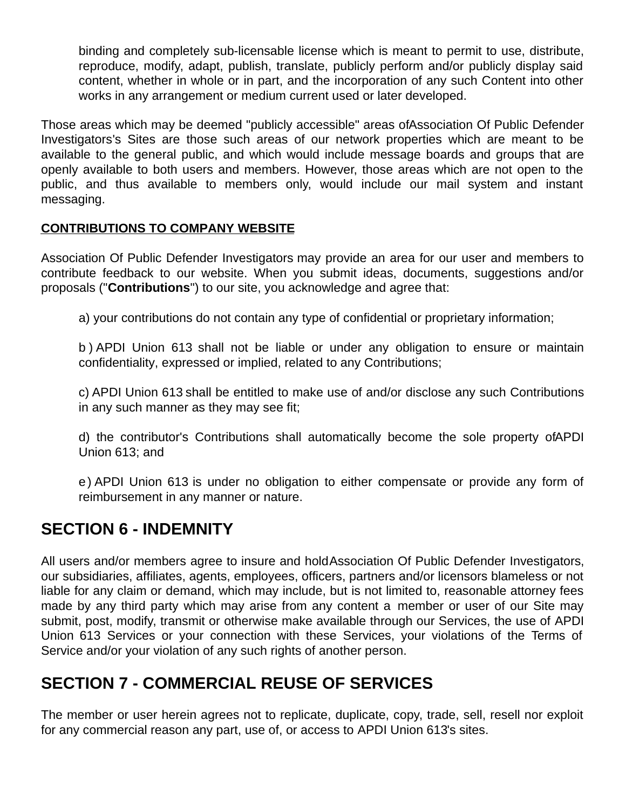binding and completely sub-licensable license which is meant to permit to use, distribute, reproduce, modify, adapt, publish, translate, publicly perform and/or publicly display said content, whether in whole or in part, and the incorporation of any such Content into other works in any arrangement or medium current used or later developed.

Those areas which may be deemed "publicly accessible" areas of Association Of Public Defender Investigators's Sites are those such areas of our network properties which are meant to be available to the general public, and which would include message boards and groups that are openly available to both users and members. However, those areas which are not open to the public, and thus available to members only, would include our mail system and instant messaging.

#### **CONTRIBUTIONS TO COMPANY WEBSITE**

Association Of Public Defender Investigators may provide an area for our user and members to contribute feedback to our website. When you submit ideas, documents, suggestions and/or proposals ("**Contributions**") to our site, you acknowledge and agree that:

a) your contributions do not contain any type of confidential or proprietary information;

b ) APDI Union 613 shall not be liable or under any obligation to ensure or maintain confidentiality, expressed or implied, related to any Contributions;

c) APDI Union 613 shall be entitled to make use of and/or disclose any such Contributions in any such manner as they may see fit;

d) the contributor's Contributions shall automatically become the sole property of APDI Union 613; and

e) APDI Union 613 is under no obligation to either compensate or provide any form of reimbursement in any manner or nature.

#### **SECTION 6 - INDEMNITY**

All users and/or members agree to insure and hold Association Of Public Defender Investigators, our subsidiaries, affiliates, agents, employees, officers, partners and/or licensors blameless or not liable for any claim or demand, which may include, but is not limited to, reasonable attorney fees made by any third party which may arise from any content a member or user of our Site may submit, post, modify, transmit or otherwise make available through our Services, the use of APDI Union 613 Services or your connection with these Services, your violations of the Terms of Service and/or your violation of any such rights of another person.

#### **SECTION 7 - COMMERCIAL REUSE OF SERVICES**

The member or user herein agrees not to replicate, duplicate, copy, trade, sell, resell nor exploit for any commercial reason any part, use of, or access to APDI Union 613's sites.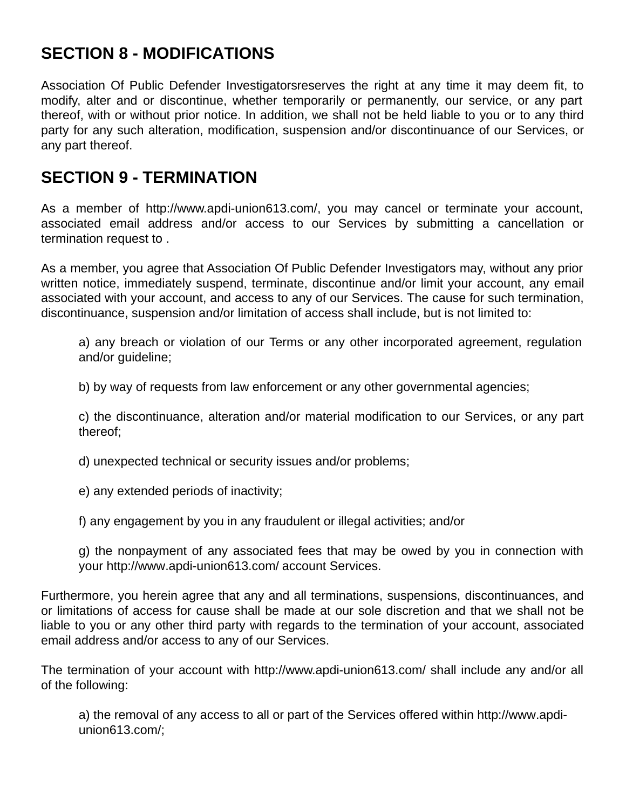# **SECTION 8 - MODIFICATIONS**

Association Of Public Defender Investigatorsreserves the right at any time it may deem fit, to modify, alter and or discontinue, whether temporarily or permanently, our service, or any part thereof, with or without prior notice. In addition, we shall not be held liable to you or to any third party for any such alteration, modification, suspension and/or discontinuance of our Services, or any part thereof.

#### **SECTION 9 - TERMINATION**

As a member of http://www.apdi-union613.com/, you may cancel or terminate your account, associated email address and/or access to our Services by submitting a cancellation or termination request to .

As a member, you agree that Association Of Public Defender Investigators may, without any prior written notice, immediately suspend, terminate, discontinue and/or limit your account, any email associated with your account, and access to any of our Services. The cause for such termination, discontinuance, suspension and/or limitation of access shall include, but is not limited to:

a) any breach or violation of our Terms or any other incorporated agreement, regulation and/or guideline;

b) by way of requests from law enforcement or any other governmental agencies;

c) the discontinuance, alteration and/or material modification to our Services, or any part thereof;

d) unexpected technical or security issues and/or problems;

e) any extended periods of inactivity;

f) any engagement by you in any fraudulent or illegal activities; and/or

g) the nonpayment of any associated fees that may be owed by you in connection with your http://www.apdi-union613.com/ account Services.

Furthermore, you herein agree that any and all terminations, suspensions, discontinuances, and or limitations of access for cause shall be made at our sole discretion and that we shall not be liable to you or any other third party with regards to the termination of your account, associated email address and/or access to any of our Services.

The termination of your account with http://www.apdi-union613.com/ shall include any and/or all of the following:

a) the removal of any access to all or part of the Services offered within http://www.apdiunion613.com/;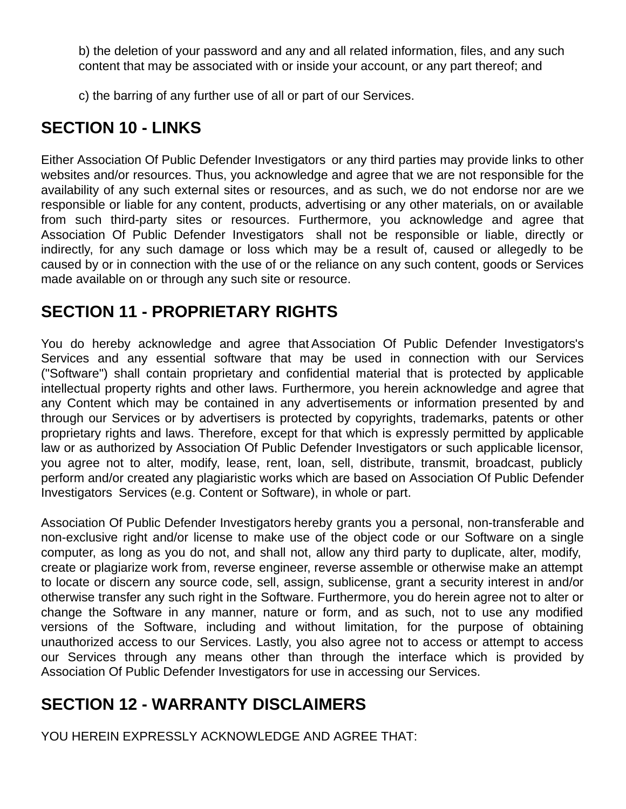b) the deletion of your password and any and all related information, files, and any such content that may be associated with or inside your account, or any part thereof; and

c) the barring of any further use of all or part of our Services.

### **SECTION 10 - LINKS**

Either Association Of Public Defender Investigators or any third parties may provide links to other websites and/or resources. Thus, you acknowledge and agree that we are not responsible for the availability of any such external sites or resources, and as such, we do not endorse nor are we responsible or liable for any content, products, advertising or any other materials, on or available from such third-party sites or resources. Furthermore, you acknowledge and agree that Association Of Public Defender Investigators shall not be responsible or liable, directly or indirectly, for any such damage or loss which may be a result of, caused or allegedly to be caused by or in connection with the use of or the reliance on any such content, goods or Services made available on or through any such site or resource.

#### **SECTION 11 - PROPRIETARY RIGHTS**

You do hereby acknowledge and agree that Association Of Public Defender Investigators's Services and any essential software that may be used in connection with our Services ("Software") shall contain proprietary and confidential material that is protected by applicable intellectual property rights and other laws. Furthermore, you herein acknowledge and agree that any Content which may be contained in any advertisements or information presented by and through our Services or by advertisers is protected by copyrights, trademarks, patents or other proprietary rights and laws. Therefore, except for that which is expressly permitted by applicable law or as authorized by Association Of Public Defender Investigators or such applicable licensor, you agree not to alter, modify, lease, rent, loan, sell, distribute, transmit, broadcast, publicly perform and/or created any plagiaristic works which are based on Association Of Public Defender Investigators Services (e.g. Content or Software), in whole or part.

Association Of Public Defender Investigators hereby grants you a personal, non-transferable and non-exclusive right and/or license to make use of the object code or our Software on a single computer, as long as you do not, and shall not, allow any third party to duplicate, alter, modify, create or plagiarize work from, reverse engineer, reverse assemble or otherwise make an attempt to locate or discern any source code, sell, assign, sublicense, grant a security interest in and/or otherwise transfer any such right in the Software. Furthermore, you do herein agree not to alter or change the Software in any manner, nature or form, and as such, not to use any modified versions of the Software, including and without limitation, for the purpose of obtaining unauthorized access to our Services. Lastly, you also agree not to access or attempt to access our Services through any means other than through the interface which is provided by Association Of Public Defender Investigators for use in accessing our Services.

# **SECTION 12 - WARRANTY DISCLAIMERS**

YOU HEREIN EXPRESSLY ACKNOWLEDGE AND AGREE THAT: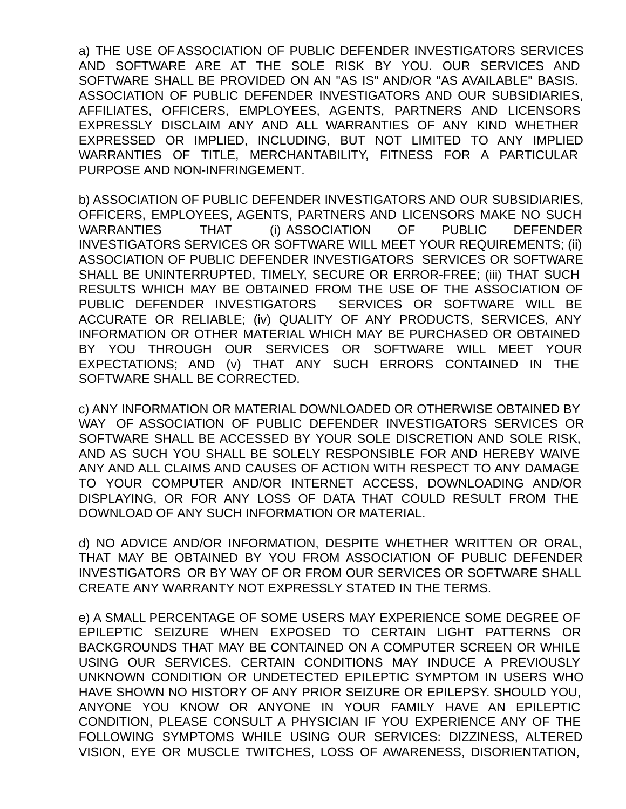a) THE USE OF ASSOCIATION OF PUBLIC DEFENDER INVESTIGATORS SERVICES AND SOFTWARE ARE AT THE SOLE RISK BY YOU. OUR SERVICES AND SOFTWARE SHALL BE PROVIDED ON AN "AS IS" AND/OR "AS AVAILABLE" BASIS. ASSOCIATION OF PUBLIC DEFENDER INVESTIGATORS AND OUR SUBSIDIARIES, AFFILIATES, OFFICERS, EMPLOYEES, AGENTS, PARTNERS AND LICENSORS EXPRESSLY DISCLAIM ANY AND ALL WARRANTIES OF ANY KIND WHETHER EXPRESSED OR IMPLIED, INCLUDING, BUT NOT LIMITED TO ANY IMPLIED WARRANTIES OF TITLE, MERCHANTABILITY, FITNESS FOR A PARTICULAR PURPOSE AND NON-INFRINGEMENT.

b) ASSOCIATION OF PUBLIC DEFENDER INVESTIGATORS AND OUR SUBSIDIARIES, OFFICERS, EMPLOYEES, AGENTS, PARTNERS AND LICENSORS MAKE NO SUCH WARRANTIES THAT (i) ASSOCIATION OF PUBLIC DEFENDER INVESTIGATORS SERVICES OR SOFTWARE WILL MEET YOUR REQUIREMENTS; (ii) ASSOCIATION OF PUBLIC DEFENDER INVESTIGATORS SERVICES OR SOFTWARE SHALL BE UNINTERRUPTED, TIMELY, SECURE OR ERROR-FREE; (iii) THAT SUCH RESULTS WHICH MAY BE OBTAINED FROM THE USE OF THE ASSOCIATION OF PUBLIC DEFENDER INVESTIGATORS SERVICES OR SOFTWARE WILL BE ACCURATE OR RELIABLE; (iv) QUALITY OF ANY PRODUCTS, SERVICES, ANY INFORMATION OR OTHER MATERIAL WHICH MAY BE PURCHASED OR OBTAINED BY YOU THROUGH OUR SERVICES OR SOFTWARE WILL MEET YOUR EXPECTATIONS; AND (v) THAT ANY SUCH ERRORS CONTAINED IN THE SOFTWARE SHALL BE CORRECTED.

c) ANY INFORMATION OR MATERIAL DOWNLOADED OR OTHERWISE OBTAINED BY WAY OF ASSOCIATION OF PUBLIC DEFENDER INVESTIGATORS SERVICES OR SOFTWARE SHALL BE ACCESSED BY YOUR SOLE DISCRETION AND SOLE RISK, AND AS SUCH YOU SHALL BE SOLELY RESPONSIBLE FOR AND HEREBY WAIVE ANY AND ALL CLAIMS AND CAUSES OF ACTION WITH RESPECT TO ANY DAMAGE TO YOUR COMPUTER AND/OR INTERNET ACCESS, DOWNLOADING AND/OR DISPLAYING, OR FOR ANY LOSS OF DATA THAT COULD RESULT FROM THE DOWNLOAD OF ANY SUCH INFORMATION OR MATERIAL.

d) NO ADVICE AND/OR INFORMATION, DESPITE WHETHER WRITTEN OR ORAL, THAT MAY BE OBTAINED BY YOU FROM ASSOCIATION OF PUBLIC DEFENDER INVESTIGATORS OR BY WAY OF OR FROM OUR SERVICES OR SOFTWARE SHALL CREATE ANY WARRANTY NOT EXPRESSLY STATED IN THE TERMS.

e) A SMALL PERCENTAGE OF SOME USERS MAY EXPERIENCE SOME DEGREE OF EPILEPTIC SEIZURE WHEN EXPOSED TO CERTAIN LIGHT PATTERNS OR BACKGROUNDS THAT MAY BE CONTAINED ON A COMPUTER SCREEN OR WHILE USING OUR SERVICES. CERTAIN CONDITIONS MAY INDUCE A PREVIOUSLY UNKNOWN CONDITION OR UNDETECTED EPILEPTIC SYMPTOM IN USERS WHO HAVE SHOWN NO HISTORY OF ANY PRIOR SEIZURE OR EPILEPSY. SHOULD YOU, ANYONE YOU KNOW OR ANYONE IN YOUR FAMILY HAVE AN EPILEPTIC CONDITION, PLEASE CONSULT A PHYSICIAN IF YOU EXPERIENCE ANY OF THE FOLLOWING SYMPTOMS WHILE USING OUR SERVICES: DIZZINESS, ALTERED VISION, EYE OR MUSCLE TWITCHES, LOSS OF AWARENESS, DISORIENTATION,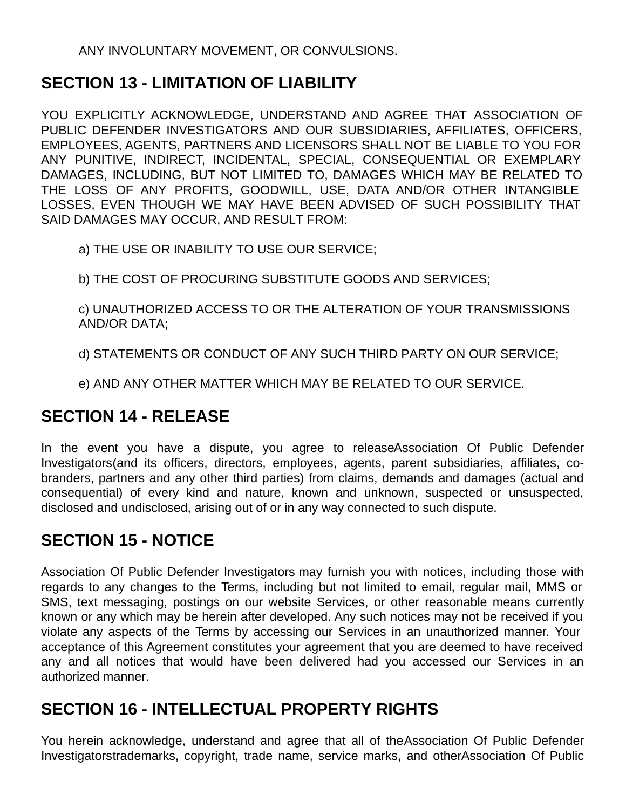ANY INVOLUNTARY MOVEMENT, OR CONVULSIONS.

#### **SECTION 13 - LIMITATION OF LIABILITY**

YOU EXPLICITLY ACKNOWLEDGE, UNDERSTAND AND AGREE THAT ASSOCIATION OF PUBLIC DEFENDER INVESTIGATORS AND OUR SUBSIDIARIES, AFFILIATES, OFFICERS, EMPLOYEES, AGENTS, PARTNERS AND LICENSORS SHALL NOT BE LIABLE TO YOU FOR ANY PUNITIVE, INDIRECT, INCIDENTAL, SPECIAL, CONSEQUENTIAL OR EXEMPLARY DAMAGES, INCLUDING, BUT NOT LIMITED TO, DAMAGES WHICH MAY BE RELATED TO THE LOSS OF ANY PROFITS, GOODWILL, USE, DATA AND/OR OTHER INTANGIBLE LOSSES, EVEN THOUGH WE MAY HAVE BEEN ADVISED OF SUCH POSSIBILITY THAT SAID DAMAGES MAY OCCUR, AND RESULT FROM:

a) THE USE OR INABILITY TO USE OUR SERVICE;

b) THE COST OF PROCURING SUBSTITUTE GOODS AND SERVICES;

c) UNAUTHORIZED ACCESS TO OR THE ALTERATION OF YOUR TRANSMISSIONS AND/OR DATA;

d) STATEMENTS OR CONDUCT OF ANY SUCH THIRD PARTY ON OUR SERVICE;

e) AND ANY OTHER MATTER WHICH MAY BE RELATED TO OUR SERVICE.

### **SECTION 14 - RELEASE**

In the event you have a dispute, you agree to release Association Of Public Defender Investigators(and its officers, directors, employees, agents, parent subsidiaries, affiliates, cobranders, partners and any other third parties) from claims, demands and damages (actual and consequential) of every kind and nature, known and unknown, suspected or unsuspected, disclosed and undisclosed, arising out of or in any way connected to such dispute.

### **SECTION 15 - NOTICE**

Association Of Public Defender Investigators may furnish you with notices, including those with regards to any changes to the Terms, including but not limited to email, regular mail, MMS or SMS, text messaging, postings on our website Services, or other reasonable means currently known or any which may be herein after developed. Any such notices may not be received if you violate any aspects of the Terms by accessing our Services in an unauthorized manner. Your acceptance of this Agreement constitutes your agreement that you are deemed to have received any and all notices that would have been delivered had you accessed our Services in an authorized manner.

### **SECTION 16 - INTELLECTUAL PROPERTY RIGHTS**

You herein acknowledge, understand and agree that all of the Association Of Public Defender Investigatorstrademarks, copyright, trade name, service marks, and otherAssociation Of Public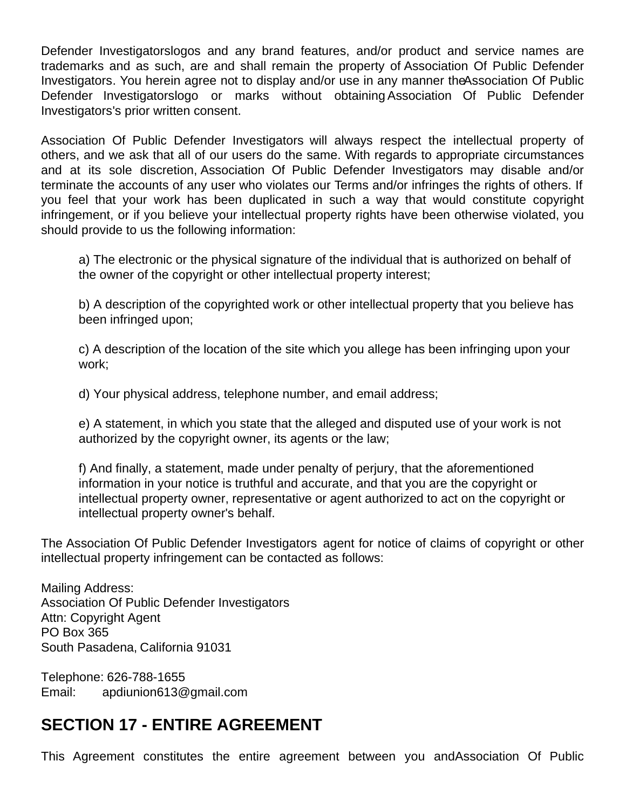Defender Investigatorslogos and any brand features, and/or product and service names are trademarks and as such, are and shall remain the property of Association Of Public Defender Investigators. You herein agree not to display and/or use in any manner the Association Of Public Defender Investigatorslogo or marks without obtaining Association Of Public Defender Investigators's prior written consent.

Association Of Public Defender Investigators will always respect the intellectual property of others, and we ask that all of our users do the same. With regards to appropriate circumstances and at its sole discretion, Association Of Public Defender Investigators may disable and/or terminate the accounts of any user who violates our Terms and/or infringes the rights of others. If you feel that your work has been duplicated in such a way that would constitute copyright infringement, or if you believe your intellectual property rights have been otherwise violated, you should provide to us the following information:

a) The electronic or the physical signature of the individual that is authorized on behalf of the owner of the copyright or other intellectual property interest;

b) A description of the copyrighted work or other intellectual property that you believe has been infringed upon;

c) A description of the location of the site which you allege has been infringing upon your work;

d) Your physical address, telephone number, and email address;

e) A statement, in which you state that the alleged and disputed use of your work is not authorized by the copyright owner, its agents or the law;

f) And finally, a statement, made under penalty of perjury, that the aforementioned information in your notice is truthful and accurate, and that you are the copyright or intellectual property owner, representative or agent authorized to act on the copyright or intellectual property owner's behalf.

The Association Of Public Defender Investigators agent for notice of claims of copyright or other intellectual property infringement can be contacted as follows:

Mailing Address: Association Of Public Defender Investigators Attn: Copyright Agent PO Box 365 South Pasadena, California 91031

Telephone: 626-788-1655 Email: apdiunion613@gmail.com

#### **SECTION 17 - ENTIRE AGREEMENT**

This Agreement constitutes the entire agreement between you and Association Of Public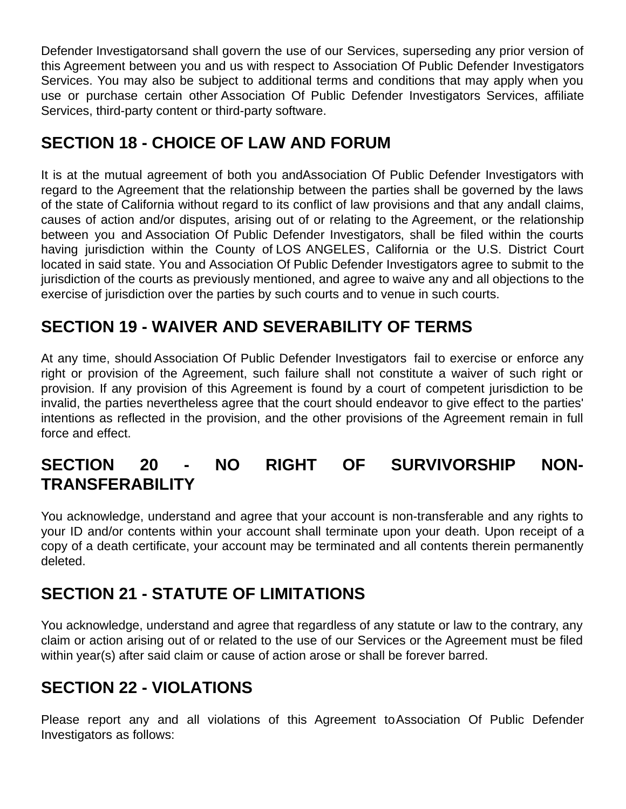Defender Investigatorsand shall govern the use of our Services, superseding any prior version of this Agreement between you and us with respect to Association Of Public Defender Investigators Services. You may also be subject to additional terms and conditions that may apply when you use or purchase certain other Association Of Public Defender Investigators Services, affiliate Services, third-party content or third-party software.

### **SECTION 18 - CHOICE OF LAW AND FORUM**

It is at the mutual agreement of both you and Association Of Public Defender Investigators with regard to the Agreement that the relationship between the parties shall be governed by the laws of the state of California without regard to its conflict of law provisions and that any and all claims, causes of action and/or disputes, arising out of or relating to the Agreement, or the relationship between you and Association Of Public Defender Investigators, shall be filed within the courts having jurisdiction within the County of LOS ANGELES, California or the U.S. District Court located in said state. You and Association Of Public Defender Investigators agree to submit to the jurisdiction of the courts as previously mentioned, and agree to waive any and all objections to the exercise of jurisdiction over the parties by such courts and to venue in such courts.

# **SECTION 19 - WAIVER AND SEVERABILITY OF TERMS**

At any time, should Association Of Public Defender Investigators fail to exercise or enforce any right or provision of the Agreement, such failure shall not constitute a waiver of such right or provision. If any provision of this Agreement is found by a court of competent jurisdiction to be invalid, the parties nevertheless agree that the court should endeavor to give effect to the parties' intentions as reflected in the provision, and the other provisions of the Agreement remain in full force and effect.

# **SECTION 20 - NO RIGHT OF SURVIVORSHIP NON-TRANSFERABILITY**

You acknowledge, understand and agree that your account is non-transferable and any rights to your ID and/or contents within your account shall terminate upon your death. Upon receipt of a copy of a death certificate, your account may be terminated and all contents therein permanently deleted.

### **SECTION 21 - STATUTE OF LIMITATIONS**

You acknowledge, understand and agree that regardless of any statute or law to the contrary, any claim or action arising out of or related to the use of our Services or the Agreement must be filed within year(s) after said claim or cause of action arose or shall be forever barred.

# **SECTION 22 - VIOLATIONS**

Please report any and all violations of this Agreement to Association Of Public Defender Investigators as follows: